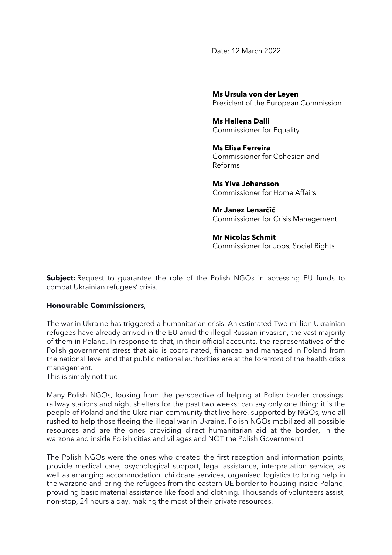Date: 12 March 2022

**Ms Ursula von der Leyen** President of the European Commission

**Ms Hellena Dalli** Commissioner for Equality

**Ms Elisa Ferreira** Commissioner for Cohesion and Reforms

**Ms Ylva Johansson** Commissioner for Home Affairs

**Mr Janez Lenarčič** Commissioner for Crisis Management

**Mr Nicolas Schmit** Commissioner for Jobs, Social Rights

**Subject:** Request to guarantee the role of the Polish NGOs in accessing EU funds to combat Ukrainian refugees' crisis.

## **Honourable Commissioners**,

The war in Ukraine has triggered a humanitarian crisis. An estimated Two million Ukrainian refugees have already arrived in the EU amid the illegal Russian invasion, the vast majority of them in Poland. In response to that, in their official accounts, the representatives of the Polish government stress that aid is coordinated, financed and managed in Poland from the national level and that public national authorities are at the forefront of the health crisis management.

This is simply not true!

Many Polish NGOs, looking from the perspective of helping at Polish border crossings, railway stations and night shelters for the past two weeks; can say only one thing: it is the people of Poland and the Ukrainian community that live here, supported by NGOs, who all rushed to help those fleeing the illegal war in Ukraine. Polish NGOs mobilized all possible resources and are the ones providing direct humanitarian aid at the border, in the warzone and inside Polish cities and villages and NOT the Polish Government!

The Polish NGOs were the ones who created the first reception and information points, provide medical care, psychological support, legal assistance, interpretation service, as well as arranging accommodation, childcare services, organised logistics to bring help in the warzone and bring the refugees from the eastern UE border to housing inside Poland, providing basic material assistance like food and clothing. Thousands of volunteers assist, non-stop, 24 hours a day, making the most of their private resources.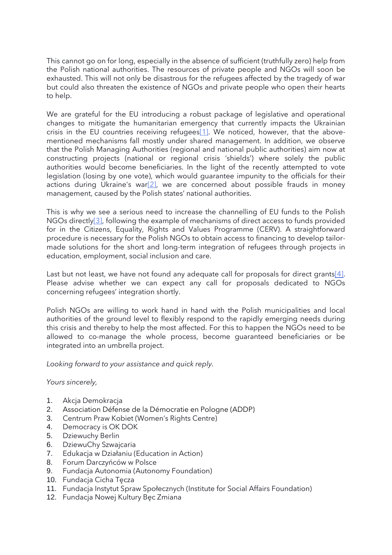This cannot go on for long, especially in the absence of sufficient (truthfully zero) help from the Polish national authorities. The resources of private people and NGOs will soon be exhausted. This will not only be disastrous for the refugees affected by the tragedy of war but could also threaten the existence of NGOs and private people who open their hearts to help.

We are grateful for the EU introducing a robust package of legislative and operational changes to mitigate the humanitarian emergency that currently impacts the Ukrainian crisis in the EU countries receiving refugee[s\[1\].](https://docs.google.com/document/d/1G2EWidEtz81Io2TcdufQh3EocMtkZbL6/edit#heading=h.30j0zll) We noticed, however, that the abovementioned mechanisms fall mostly under shared management. In addition, we observe that the Polish Managing Authorities (regional and national public authorities) aim now at constructing projects (national or regional crisis 'shields') where solely the public authorities would become beneficiaries. In the light of the recently attempted to vote legislation (losing by one vote), which would guarantee impunity to the officials for their actions during Ukraine's war<sup>[2]</sup>, we are concerned about possible frauds in money management, caused by the Polish states' national authorities.

This is why we see a serious need to increase the channelling of EU funds to the Polish NGOs directly<sup>[3]</sup>, following the example of mechanisms of direct access to funds provided for in the Citizens, Equality, Rights and Values Programme (CERV). A straightforward procedure is necessary for the Polish NGOs to obtain access to financing to develop tailormade solutions for the short and long-term integration of refugees through projects in education, employment, social inclusion and care.

Last but not least, we have not found any adequate call for proposals for direct grants[ $4$ ]. Please advise whether we can expect any call for proposals dedicated to NGOs concerning refugees' integration shortly.

Polish NGOs are willing to work hand in hand with the Polish municipalities and local authorities of the ground level to flexibly respond to the rapidly emerging needs during this crisis and thereby to help the most affected. For this to happen the NGOs need to be allowed to co-manage the whole process, become guaranteed beneficiaries or be integrated into an umbrella project.

*Looking forward to your assistance and quick reply.*

*Yours sincerely,*

- 1. Akcja Demokracja
- 2. Association Défense de la Démocratie en Pologne (ADDP)
- 3. Centrum Praw Kobiet (Women's Rights Centre)
- 4. Democracy is OK DOK
- 5. Dziewuchy Berlin
- 6. DziewuChy Szwajcaria
- 7. Edukacja w Działaniu (Education in Action)
- 8. Forum Darczyńców w Polsce
- 9. Fundacja Autonomia (Autonomy Foundation)
- 10. Fundacja Cicha Tęcza
- 11. Fundacja Instytut Spraw Społecznych (Institute for Social Affairs Foundation)
- 12. Fundacja Nowej Kultury Bęc Zmiana